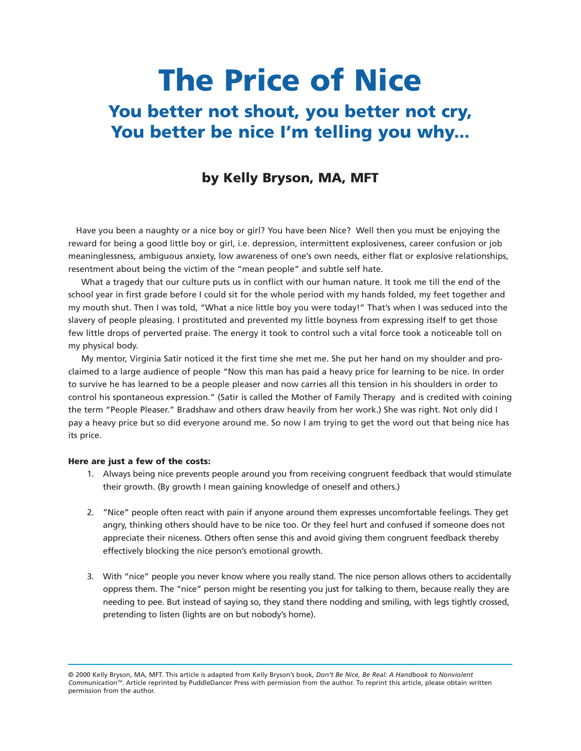# **The Price of Nice You better not shout, you better not cry, You better be nice I'm telling you why...**

## **by Kelly Bryson, MA, MFT**

Have you been a naughty or a nice boy or girl? You have been Nice? Well then you must be enjoying the reward for being a good little boy or girl, i.e. depression, intermittent explosiveness, career confusion or job meaninglessness, ambiguous anxiety, low awareness of one's own needs, either flat or explosive relationships, resentment about being the victim of the "mean people" and subtle self hate.

What a tragedy that our culture puts us in conflict with our human nature. It took me till the end of the school year in first grade before I could sit for the whole period with my hands folded, my feet together and my mouth shut. Then I was told, "What a nice little boy you were today!" That's when I was seduced into the slavery of people pleasing. I prostituted and prevented my little boyness from expressing itself to get those few little drops of perverted praise. The energy it took to control such a vital force took a noticeable toll on my physical body.

My mentor, Virginia Satir noticed it the first time she met me. She put her hand on my shoulder and proclaimed to a large audience of people "Now this man has paid a heavy price for learning to be nice. In order to survive he has learned to be a people pleaser and now carries all this tension in his shoulders in order to control his spontaneous expression." (Satir is called the Mother of Family Therapy and is credited with coining the term "People Pleaser." Bradshaw and others draw heavily from her work.) She was right. Not only did I pay a heavy price but so did everyone around me. So now I am trying to get the word out that being nice has its price.

#### **Here are just a few of the costs:**

- 1. Always being nice prevents people around you from receiving congruent feedback that would stimulate their growth. (By growth I mean gaining knowledge of oneself and others.)
- 2. "Nice" people often react with pain if anyone around them expresses uncomfortable feelings. They get angry, thinking others should have to be nice too. Or they feel hurt and confused if someone does not appreciate their niceness. Others often sense this and avoid giving them congruent feedback thereby effectively blocking the nice person's emotional growth.
- 3. With "nice" people you never know where you really stand. The nice person allows others to accidentally oppress them. The "nice" person might be resenting you just for talking to them, because really they are needing to pee. But instead of saying so, they stand there nodding and smiling, with legs tightly crossed, pretending to listen (lights are on but nobody's home).

<sup>© 2000</sup> Kelly Bryson, MA, MFT. This article is adapted from Kelly Bryson's book, *Don't Be Nice, Be Real: A Handbook to Nonviolent CommunicationTM*. Article reprinted by PuddleDancer Press with permission from the author. To reprint this article, please obtain written permission from the author.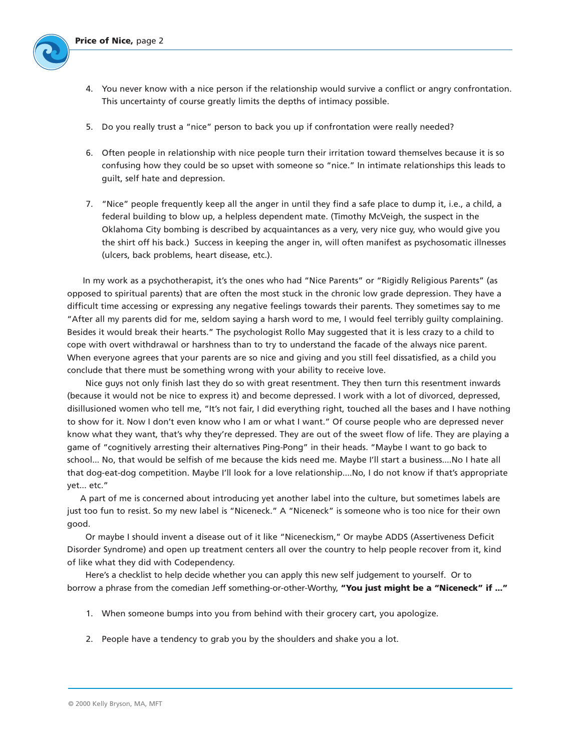

- 4. You never know with a nice person if the relationship would survive a conflict or angry confrontation. This uncertainty of course greatly limits the depths of intimacy possible.
- 5. Do you really trust a "nice" person to back you up if confrontation were really needed?
- 6. Often people in relationship with nice people turn their irritation toward themselves because it is so confusing how they could be so upset with someone so "nice." In intimate relationships this leads to guilt, self hate and depression.
- 7. "Nice" people frequently keep all the anger in until they find a safe place to dump it, i.e., a child, a federal building to blow up, a helpless dependent mate. (Timothy McVeigh, the suspect in the Oklahoma City bombing is described by acquaintances as a very, very nice guy, who would give you the shirt off his back.) Success in keeping the anger in, will often manifest as psychosomatic illnesses (ulcers, back problems, heart disease, etc.).

In my work as a psychotherapist, it's the ones who had "Nice Parents" or "Rigidly Religious Parents" (as opposed to spiritual parents) that are often the most stuck in the chronic low grade depression. They have a difficult time accessing or expressing any negative feelings towards their parents. They sometimes say to me "After all my parents did for me, seldom saying a harsh word to me, I would feel terribly guilty complaining. Besides it would break their hearts." The psychologist Rollo May suggested that it is less crazy to a child to cope with overt withdrawal or harshness than to try to understand the facade of the always nice parent. When everyone agrees that your parents are so nice and giving and you still feel dissatisfied, as a child you conclude that there must be something wrong with your ability to receive love.

Nice guys not only finish last they do so with great resentment. They then turn this resentment inwards (because it would not be nice to express it) and become depressed. I work with a lot of divorced, depressed, disillusioned women who tell me, "It's not fair, I did everything right, touched all the bases and I have nothing to show for it. Now I don't even know who I am or what I want." Of course people who are depressed never know what they want, that's why they're depressed. They are out of the sweet flow of life. They are playing a game of "cognitively arresting their alternatives Ping-Pong" in their heads. "Maybe I want to go back to school... No, that would be selfish of me because the kids need me. Maybe I'll start a business....No I hate all that dog-eat-dog competition. Maybe I'll look for a love relationship....No, I do not know if that's appropriate yet... etc."

A part of me is concerned about introducing yet another label into the culture, but sometimes labels are just too fun to resist. So my new label is "Niceneck." A "Niceneck" is someone who is too nice for their own good.

Or maybe I should invent a disease out of it like "Niceneckism," Or maybe ADDS (Assertiveness Deficit Disorder Syndrome) and open up treatment centers all over the country to help people recover from it, kind of like what they did with Codependency.

Here's a checklist to help decide whether you can apply this new self judgement to yourself. Or to borrow a phrase from the comedian Jeff something-or-other-Worthy, **"You just might be a "Niceneck" if ..."**

- 1. When someone bumps into you from behind with their grocery cart, you apologize.
- 2. People have a tendency to grab you by the shoulders and shake you a lot.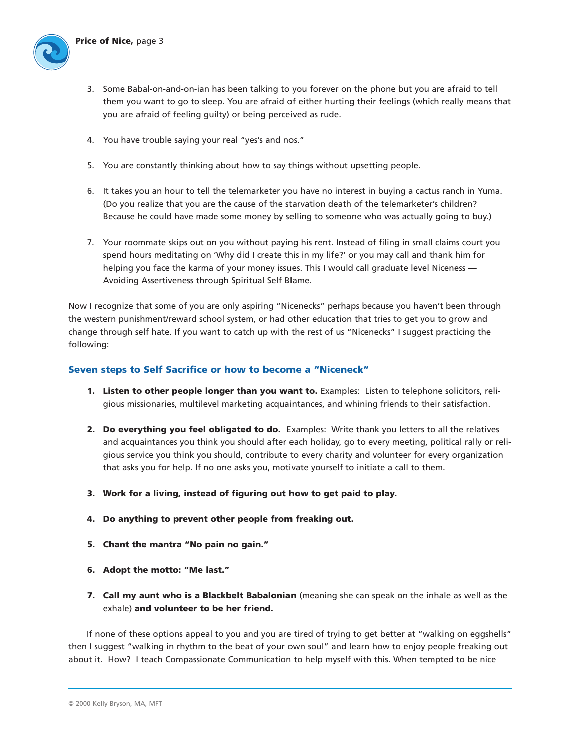

- 3. Some Babal-on-and-on-ian has been talking to you forever on the phone but you are afraid to tell them you want to go to sleep. You are afraid of either hurting their feelings (which really means that you are afraid of feeling guilty) or being perceived as rude.
- 4. You have trouble saying your real "yes's and nos."
- 5. You are constantly thinking about how to say things without upsetting people.
- 6. It takes you an hour to tell the telemarketer you have no interest in buying a cactus ranch in Yuma. (Do you realize that you are the cause of the starvation death of the telemarketer's children? Because he could have made some money by selling to someone who was actually going to buy.)
- 7. Your roommate skips out on you without paying his rent. Instead of filing in small claims court you spend hours meditating on 'Why did I create this in my life?' or you may call and thank him for helping you face the karma of your money issues. This I would call graduate level Niceness — Avoiding Assertiveness through Spiritual Self Blame.

Now I recognize that some of you are only aspiring "Nicenecks" perhaps because you haven't been through the western punishment/reward school system, or had other education that tries to get you to grow and change through self hate. If you want to catch up with the rest of us "Nicenecks" I suggest practicing the following:

### **Seven steps to Self Sacrifice or how to become a "Niceneck"**

- **1. Listen to other people longer than you want to.** Examples: Listen to telephone solicitors, religious missionaries, multilevel marketing acquaintances, and whining friends to their satisfaction.
- **2. Do everything you feel obligated to do.** Examples: Write thank you letters to all the relatives and acquaintances you think you should after each holiday, go to every meeting, political rally or religious service you think you should, contribute to every charity and volunteer for every organization that asks you for help. If no one asks you, motivate yourself to initiate a call to them.
- **3. Work for a living, instead of figuring out how to get paid to play.**
- **4. Do anything to prevent other people from freaking out.**
- **5. Chant the mantra "No pain no gain."**
- **6. Adopt the motto: "Me last."**
- **7. Call my aunt who is a Blackbelt Babalonian** (meaning she can speak on the inhale as well as the exhale) **and volunteer to be her friend.**

If none of these options appeal to you and you are tired of trying to get better at "walking on eggshells" then I suggest "walking in rhythm to the beat of your own soul" and learn how to enjoy people freaking out about it. How? I teach Compassionate Communication to help myself with this. When tempted to be nice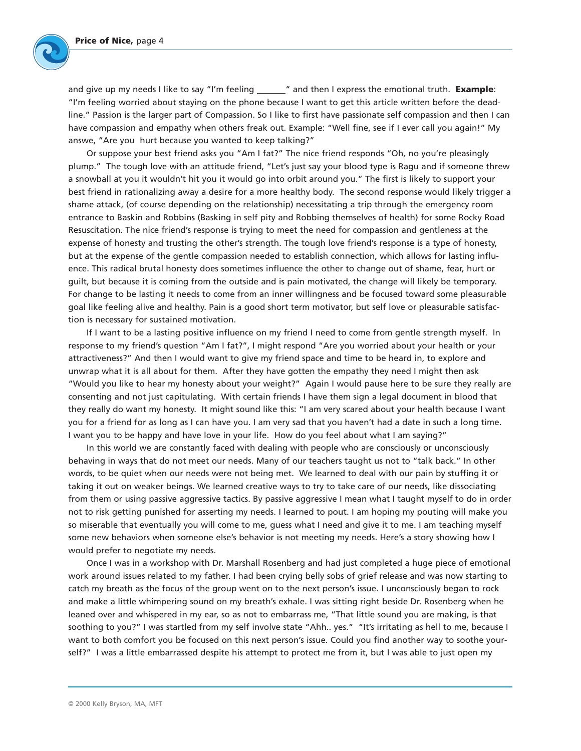

and give up my needs I like to say "I'm feeling \_\_\_\_\_\_" and then I express the emotional truth. **Example**: "I'm feeling worried about staying on the phone because I want to get this article written before the deadline." Passion is the larger part of Compassion. So I like to first have passionate self compassion and then I can have compassion and empathy when others freak out. Example: "Well fine, see if I ever call you again!" My answe, "Are you hurt because you wanted to keep talking?"

Or suppose your best friend asks you "Am I fat?" The nice friend responds "Oh, no you're pleasingly plump." The tough love with an attitude friend, "Let's just say your blood type is Ragu and if someone threw a snowball at you it wouldn't hit you it would go into orbit around you." The first is likely to support your best friend in rationalizing away a desire for a more healthy body. The second response would likely trigger a shame attack, (of course depending on the relationship) necessitating a trip through the emergency room entrance to Baskin and Robbins (Basking in self pity and Robbing themselves of health) for some Rocky Road Resuscitation. The nice friend's response is trying to meet the need for compassion and gentleness at the expense of honesty and trusting the other's strength. The tough love friend's response is a type of honesty, but at the expense of the gentle compassion needed to establish connection, which allows for lasting influence. This radical brutal honesty does sometimes influence the other to change out of shame, fear, hurt or guilt, but because it is coming from the outside and is pain motivated, the change will likely be temporary. For change to be lasting it needs to come from an inner willingness and be focused toward some pleasurable goal like feeling alive and healthy. Pain is a good short term motivator, but self love or pleasurable satisfaction is necessary for sustained motivation.

If I want to be a lasting positive influence on my friend I need to come from gentle strength myself. In response to my friend's question "Am I fat?", I might respond "Are you worried about your health or your attractiveness?" And then I would want to give my friend space and time to be heard in, to explore and unwrap what it is all about for them. After they have gotten the empathy they need I might then ask "Would you like to hear my honesty about your weight?" Again I would pause here to be sure they really are consenting and not just capitulating. With certain friends I have them sign a legal document in blood that they really do want my honesty. It might sound like this: "I am very scared about your health because I want you for a friend for as long as I can have you. I am very sad that you haven't had a date in such a long time. I want you to be happy and have love in your life. How do you feel about what I am saying?"

In this world we are constantly faced with dealing with people who are consciously or unconsciously behaving in ways that do not meet our needs. Many of our teachers taught us not to "talk back." In other words, to be quiet when our needs were not being met. We learned to deal with our pain by stuffing it or taking it out on weaker beings. We learned creative ways to try to take care of our needs, like dissociating from them or using passive aggressive tactics. By passive aggressive I mean what I taught myself to do in order not to risk getting punished for asserting my needs. I learned to pout. I am hoping my pouting will make you so miserable that eventually you will come to me, guess what I need and give it to me. I am teaching myself some new behaviors when someone else's behavior is not meeting my needs. Here's a story showing how I would prefer to negotiate my needs.

Once I was in a workshop with Dr. Marshall Rosenberg and had just completed a huge piece of emotional work around issues related to my father. I had been crying belly sobs of grief release and was now starting to catch my breath as the focus of the group went on to the next person's issue. I unconsciously began to rock and make a little whimpering sound on my breath's exhale. I was sitting right beside Dr. Rosenberg when he leaned over and whispered in my ear, so as not to embarrass me, "That little sound you are making, is that soothing to you?" I was startled from my self involve state "Ahh.. yes." "It's irritating as hell to me, because I want to both comfort you be focused on this next person's issue. Could you find another way to soothe yourself?" I was a little embarrassed despite his attempt to protect me from it, but I was able to just open my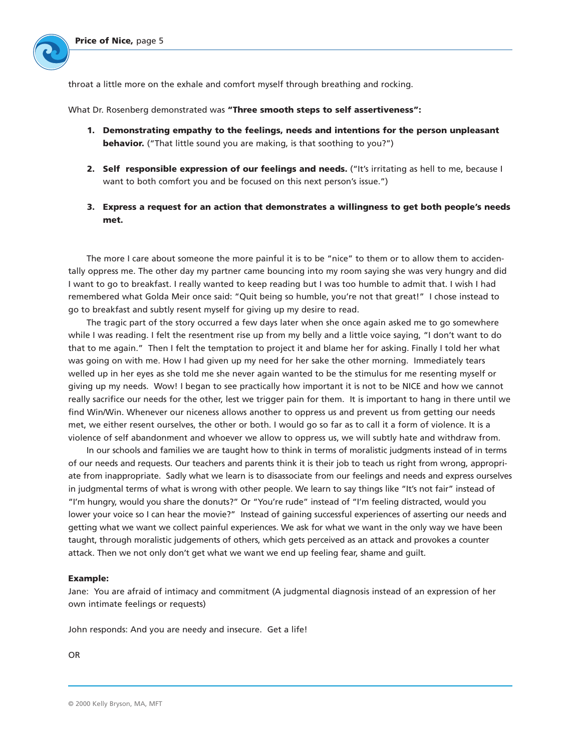throat a little more on the exhale and comfort myself through breathing and rocking.

What Dr. Rosenberg demonstrated was **"Three smooth steps to self assertiveness":**

- **1. Demonstrating empathy to the feelings, needs and intentions for the person unpleasant behavior.** ("That little sound you are making, is that soothing to you?")
- **2. Self responsible expression of our feelings and needs.** ("It's irritating as hell to me, because I want to both comfort you and be focused on this next person's issue.")
- **3. Express a request for an action that demonstrates a willingness to get both people's needs met.**

The more I care about someone the more painful it is to be "nice" to them or to allow them to accidentally oppress me. The other day my partner came bouncing into my room saying she was very hungry and did I want to go to breakfast. I really wanted to keep reading but I was too humble to admit that. I wish I had remembered what Golda Meir once said: "Quit being so humble, you're not that great!" I chose instead to go to breakfast and subtly resent myself for giving up my desire to read.

The tragic part of the story occurred a few days later when she once again asked me to go somewhere while I was reading. I felt the resentment rise up from my belly and a little voice saying, "I don't want to do that to me again." Then I felt the temptation to project it and blame her for asking. Finally I told her what was going on with me. How I had given up my need for her sake the other morning. Immediately tears welled up in her eyes as she told me she never again wanted to be the stimulus for me resenting myself or giving up my needs. Wow! I began to see practically how important it is not to be NICE and how we cannot really sacrifice our needs for the other, lest we trigger pain for them. It is important to hang in there until we find Win/Win. Whenever our niceness allows another to oppress us and prevent us from getting our needs met, we either resent ourselves, the other or both. I would go so far as to call it a form of violence. It is a violence of self abandonment and whoever we allow to oppress us, we will subtly hate and withdraw from.

In our schools and families we are taught how to think in terms of moralistic judgments instead of in terms of our needs and requests. Our teachers and parents think it is their job to teach us right from wrong, appropriate from inappropriate. Sadly what we learn is to disassociate from our feelings and needs and express ourselves in judgmental terms of what is wrong with other people. We learn to say things like "It's not fair" instead of "I'm hungry, would you share the donuts?" Or "You're rude" instead of "I'm feeling distracted, would you lower your voice so I can hear the movie?" Instead of gaining successful experiences of asserting our needs and getting what we want we collect painful experiences. We ask for what we want in the only way we have been taught, through moralistic judgements of others, which gets perceived as an attack and provokes a counter attack. Then we not only don't get what we want we end up feeling fear, shame and guilt.

#### **Example:**

Jane: You are afraid of intimacy and commitment (A judgmental diagnosis instead of an expression of her own intimate feelings or requests)

John responds: And you are needy and insecure. Get a life!

OR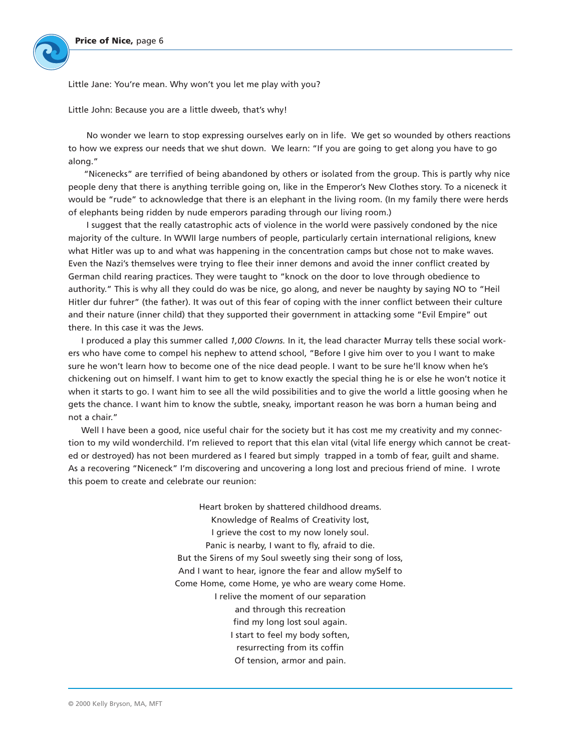Little Jane: You're mean. Why won't you let me play with you?

Little John: Because you are a little dweeb, that's why!

No wonder we learn to stop expressing ourselves early on in life. We get so wounded by others reactions to how we express our needs that we shut down. We learn: "If you are going to get along you have to go along."

"Nicenecks" are terrified of being abandoned by others or isolated from the group. This is partly why nice people deny that there is anything terrible going on, like in the Emperor's New Clothes story. To a niceneck it would be "rude" to acknowledge that there is an elephant in the living room. (In my family there were herds of elephants being ridden by nude emperors parading through our living room.)

I suggest that the really catastrophic acts of violence in the world were passively condoned by the nice majority of the culture. In WWII large numbers of people, particularly certain international religions, knew what Hitler was up to and what was happening in the concentration camps but chose not to make waves. Even the Nazi's themselves were trying to flee their inner demons and avoid the inner conflict created by German child rearing practices. They were taught to "knock on the door to love through obedience to authority." This is why all they could do was be nice, go along, and never be naughty by saying NO to "Heil Hitler dur fuhrer" (the father). It was out of this fear of coping with the inner conflict between their culture and their nature (inner child) that they supported their government in attacking some "Evil Empire" out there. In this case it was the Jews.

I produced a play this summer called *1,000 Clowns.* In it, the lead character Murray tells these social workers who have come to compel his nephew to attend school, "Before I give him over to you I want to make sure he won't learn how to become one of the nice dead people. I want to be sure he'll know when he's chickening out on himself. I want him to get to know exactly the special thing he is or else he won't notice it when it starts to go. I want him to see all the wild possibilities and to give the world a little goosing when he gets the chance. I want him to know the subtle, sneaky, important reason he was born a human being and not a chair."

Well I have been a good, nice useful chair for the society but it has cost me my creativity and my connection to my wild wonderchild. I'm relieved to report that this elan vital (vital life energy which cannot be created or destroyed) has not been murdered as I feared but simply trapped in a tomb of fear, guilt and shame. As a recovering "Niceneck" I'm discovering and uncovering a long lost and precious friend of mine. I wrote this poem to create and celebrate our reunion:

> Heart broken by shattered childhood dreams. Knowledge of Realms of Creativity lost, I grieve the cost to my now lonely soul. Panic is nearby, I want to fly, afraid to die. But the Sirens of my Soul sweetly sing their song of loss, And I want to hear, ignore the fear and allow mySelf to Come Home, come Home, ye who are weary come Home. I relive the moment of our separation and through this recreation find my long lost soul again. I start to feel my body soften, resurrecting from its coffin Of tension, armor and pain.